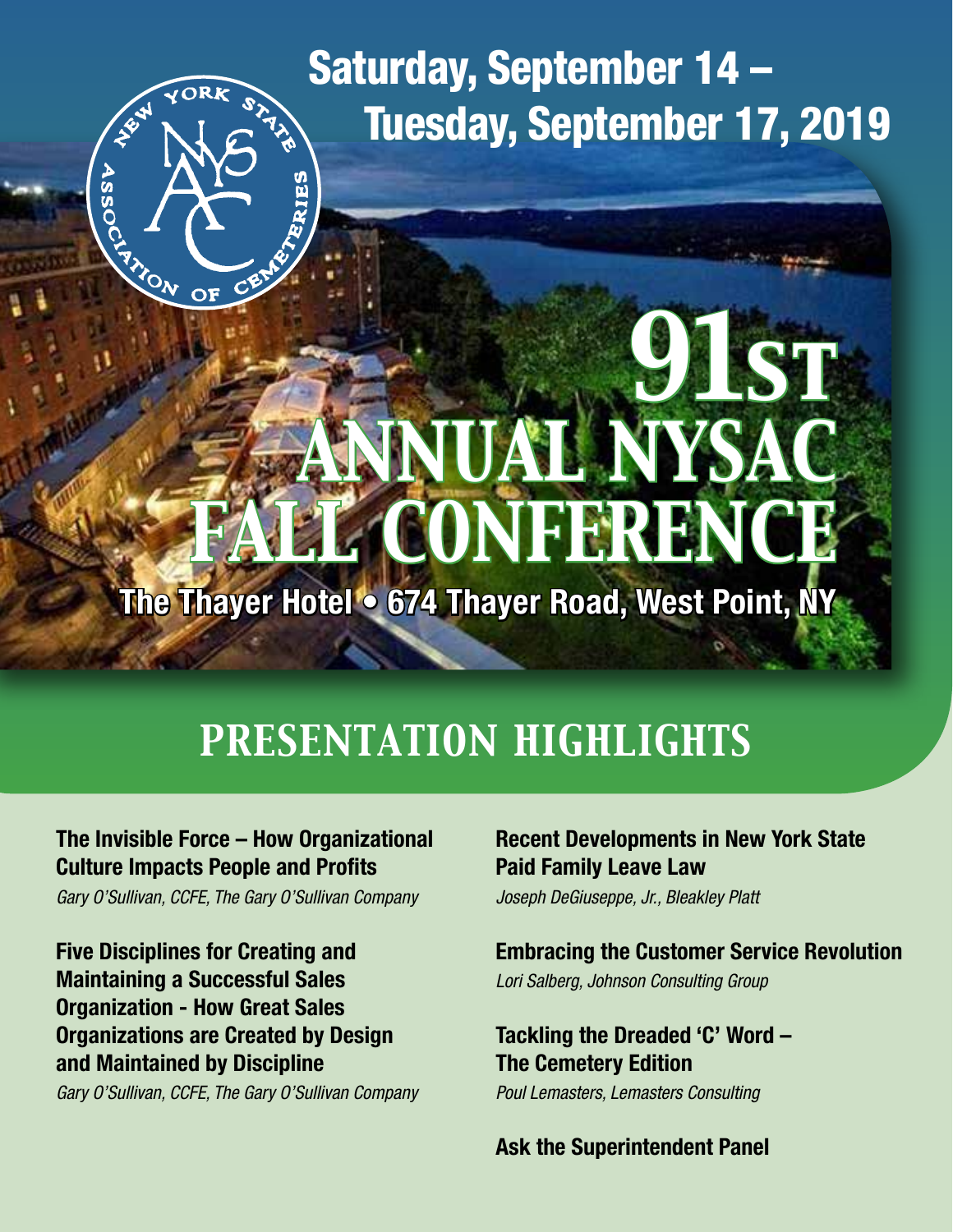## Saturday, September 14 – Tuesday, September 17, 2019

# *91st ANNUAL NYSAC FALL CONFERENCE*

**The Thayer Hotel • 674 Thayer Road, West Point, NY**

## *PRESENTATION HIGHLIGHTS*

### **The Invisible Force – How Organizational Culture Impacts People and Profits**

RIES

**ASSOCT** 

**ANOW OF** 

*Gary O'Sullivan, CCFE, The Gary O'Sullivan Company*

**Five Disciplines for Creating and Maintaining a Successful Sales Organization - How Great Sales Organizations are Created by Design and Maintained by Discipline**

*Gary O'Sullivan, CCFE, The Gary O'Sullivan Company*

### **Recent Developments in New York State Paid Family Leave Law**

*Joseph DeGiuseppe, Jr., Bleakley Platt*

### **Embracing the Customer Service Revolution**

*Lori Salberg, Johnson Consulting Group*

**Tackling the Dreaded 'C' Word – The Cemetery Edition**

*Poul Lemasters, Lemasters Consulting*

**Ask the Superintendent Panel**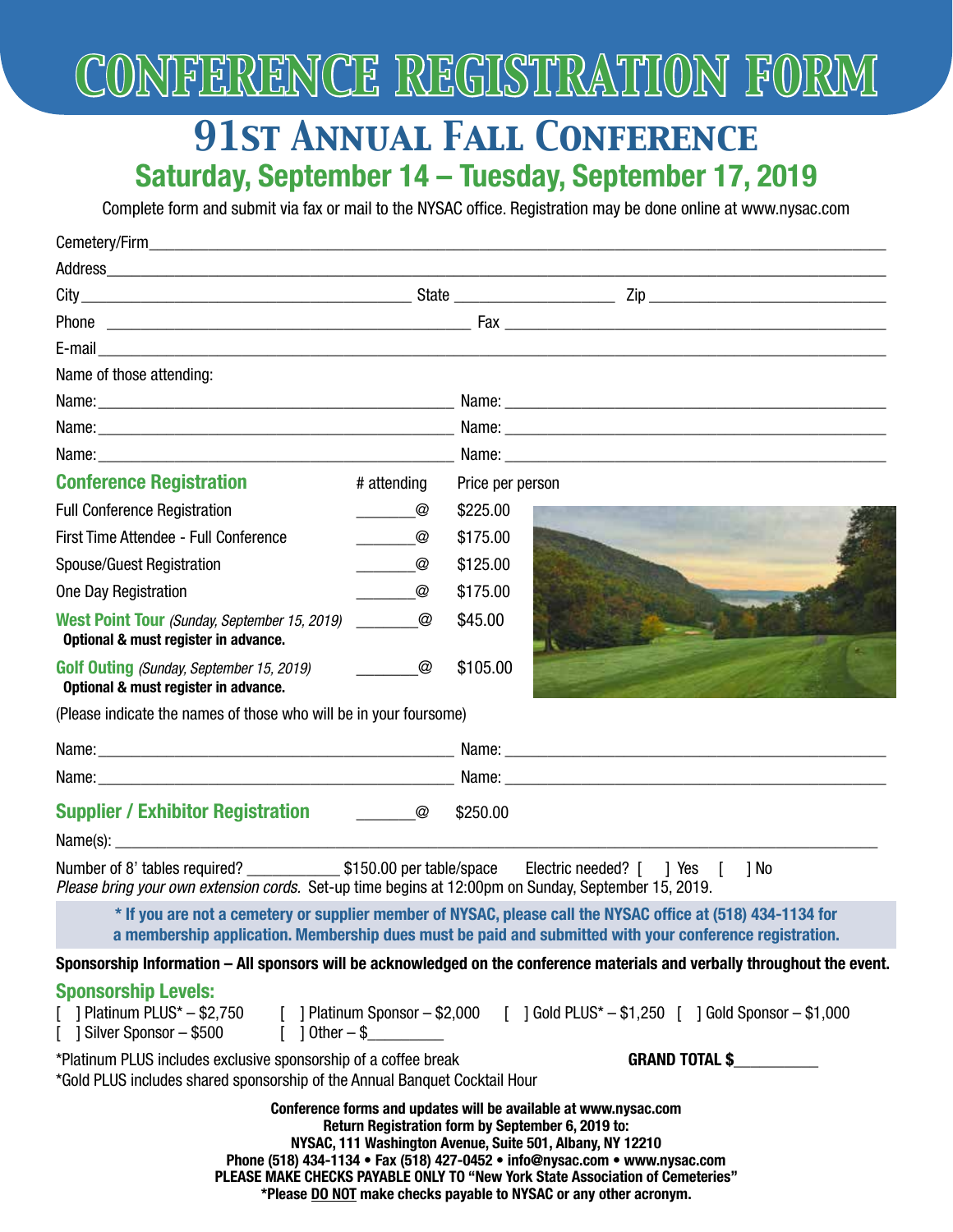

### *91st Annual Fall Conference* **Saturday, September 14 – Tuesday, September 17, 2019**

Complete form and submit via fax or mail to the NYSAC office. Registration may be done online at www.nysac.com

| Address experience and the contract of the contract of the contract of the contract of the contract of the contract of the contract of the contract of the contract of the contract of the contract of the contract of the con                                                                                                                                                                                        |                                              |                  |  |  |
|-----------------------------------------------------------------------------------------------------------------------------------------------------------------------------------------------------------------------------------------------------------------------------------------------------------------------------------------------------------------------------------------------------------------------|----------------------------------------------|------------------|--|--|
|                                                                                                                                                                                                                                                                                                                                                                                                                       |                                              |                  |  |  |
|                                                                                                                                                                                                                                                                                                                                                                                                                       |                                              |                  |  |  |
|                                                                                                                                                                                                                                                                                                                                                                                                                       |                                              |                  |  |  |
| Name of those attending:                                                                                                                                                                                                                                                                                                                                                                                              |                                              |                  |  |  |
|                                                                                                                                                                                                                                                                                                                                                                                                                       |                                              |                  |  |  |
|                                                                                                                                                                                                                                                                                                                                                                                                                       |                                              |                  |  |  |
|                                                                                                                                                                                                                                                                                                                                                                                                                       |                                              |                  |  |  |
| <b>Conference Registration</b>                                                                                                                                                                                                                                                                                                                                                                                        | # attending                                  | Price per person |  |  |
| <b>Full Conference Registration</b>                                                                                                                                                                                                                                                                                                                                                                                   | $\begin{array}{cc} & \mathbb{Q} \end{array}$ | \$225.00         |  |  |
| First Time Attendee - Full Conference                                                                                                                                                                                                                                                                                                                                                                                 | $\circledcirc$                               | \$175.00         |  |  |
| Spouse/Guest Registration                                                                                                                                                                                                                                                                                                                                                                                             | @<br>$\mathcal{L}^{\text{max}}_{\text{max}}$ | \$125.00         |  |  |
| One Day Registration                                                                                                                                                                                                                                                                                                                                                                                                  | @                                            | \$175.00         |  |  |
| West Point Tour (Sunday, September 15, 2019)<br>Optional & must register in advance.                                                                                                                                                                                                                                                                                                                                  | $\circledcirc$                               | \$45.00          |  |  |
| <b>Golf Outing (Sunday, September 15, 2019)</b><br>Optional & must register in advance.                                                                                                                                                                                                                                                                                                                               | $\circledcirc$                               | \$105.00         |  |  |
| (Please indicate the names of those who will be in your foursome)                                                                                                                                                                                                                                                                                                                                                     |                                              |                  |  |  |
|                                                                                                                                                                                                                                                                                                                                                                                                                       |                                              |                  |  |  |
|                                                                                                                                                                                                                                                                                                                                                                                                                       |                                              |                  |  |  |
| <b>Supplier / Exhibitor Registration [16] [2016]</b>                                                                                                                                                                                                                                                                                                                                                                  |                                              | \$250.00         |  |  |
|                                                                                                                                                                                                                                                                                                                                                                                                                       |                                              |                  |  |  |
| Electric needed? [ ] Yes [ ] No<br>Please bring your own extension cords. Set-up time begins at 12:00pm on Sunday, September 15, 2019.                                                                                                                                                                                                                                                                                |                                              |                  |  |  |
| * If you are not a cemetery or supplier member of NYSAC, please call the NYSAC office at (518) 434-1134 for<br>a membership application. Membership dues must be paid and submitted with your conference registration.                                                                                                                                                                                                |                                              |                  |  |  |
| Sponsorship Information – All sponsors will be acknowledged on the conference materials and verbally throughout the event.                                                                                                                                                                                                                                                                                            |                                              |                  |  |  |
| <b>Sponsorship Levels:</b><br>[ ] Platinum PLUS* - \$2,750 [ ] Platinum Sponsor - \$2,000 [ ] Gold PLUS* - \$1,250 [ ] Gold Sponsor - \$1,000<br>[ ] Silver Sponsor - \$500 [ ] Other - \$                                                                                                                                                                                                                            |                                              |                  |  |  |
| *Platinum PLUS includes exclusive sponsorship of a coffee break<br><b>GRAND TOTAL \$</b><br>*Gold PLUS includes shared sponsorship of the Annual Banquet Cocktail Hour                                                                                                                                                                                                                                                |                                              |                  |  |  |
| Conference forms and updates will be available at www.nysac.com<br>Return Registration form by September 6, 2019 to:<br>NYSAC, 111 Washington Avenue, Suite 501, Albany, NY 12210<br>Phone (518) 434-1134 • Fax (518) 427-0452 • info@nysac.com • www.nysac.com<br>PLEASE MAKE CHECKS PAYABLE ONLY TO "New York State Association of Cemeteries"<br>*Please DO NOT make checks payable to NYSAC or any other acronym. |                                              |                  |  |  |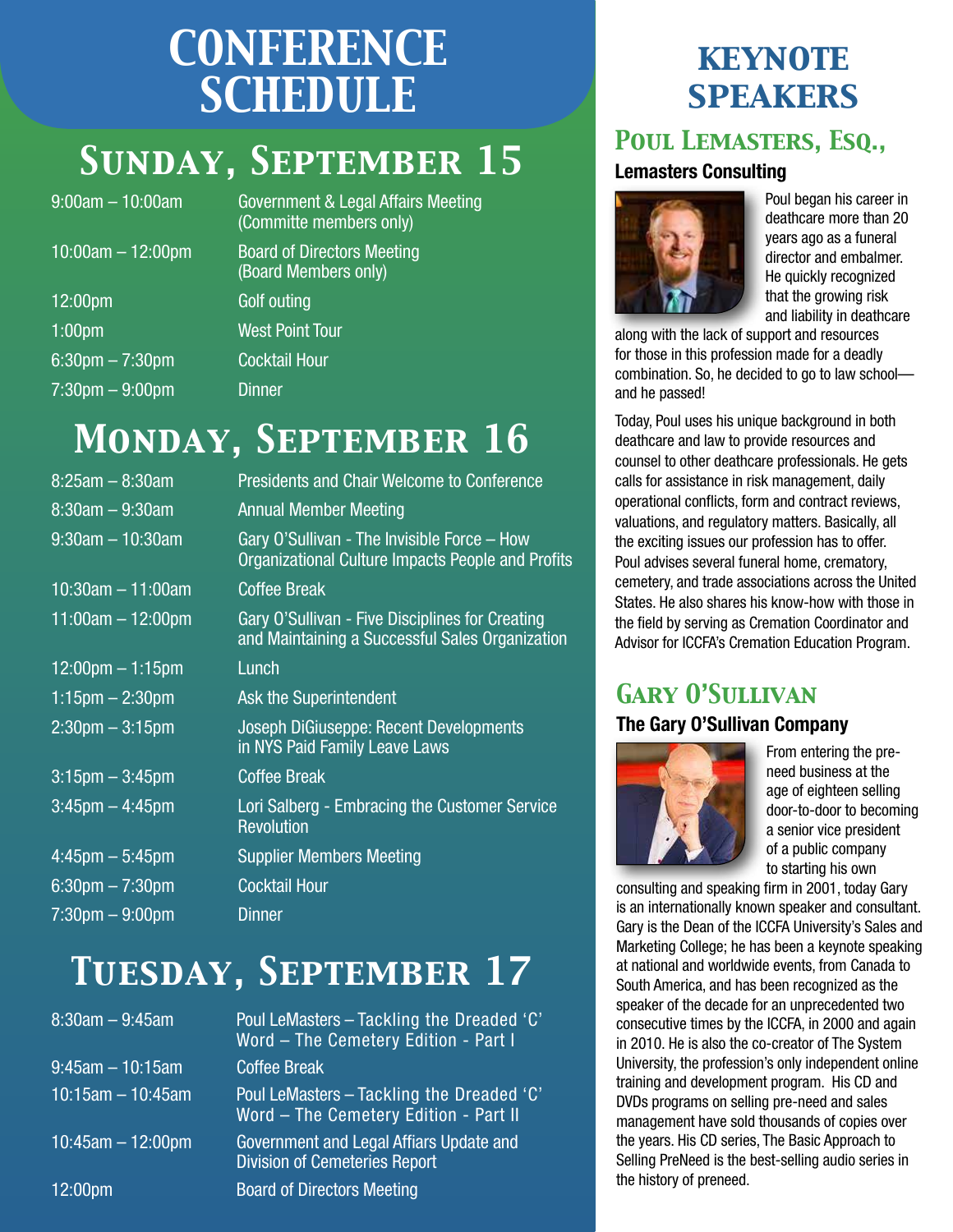## *CONFERENCE SCHEDULE*

## *Sunday, September 15*

| $9:00$ am $- 10:00$ am            | <b>Government &amp;</b><br>(Committe mo |
|-----------------------------------|-----------------------------------------|
| $10:00am - 12:00pm$               | <b>Board of Dire</b><br>(Board Memb     |
| 12:00pm                           | <b>Golf outing</b>                      |
| 1:00 <sub>pm</sub>                | <b>West Point To</b>                    |
| $6:30$ pm $- 7:30$ pm             | <b>Cocktail Hour</b>                    |
| $7:30 \text{pm} - 9:00 \text{pm}$ | <b>Dinner</b>                           |

ent & Legal Affairs Meeting te members only) **Directors Meeting** 

lembers only)

nt Tour

## *Monday, September 16*

| $8:25am - 8:30am$                 | <b>Presidents and Chair Welcome to Conference</b>                                                  |
|-----------------------------------|----------------------------------------------------------------------------------------------------|
| $8:30$ am $-9:30$ am              | <b>Annual Member Meeting</b>                                                                       |
| $9:30$ am $-10:30$ am             | Gary O'Sullivan - The Invisible Force - How<br>Organizational Culture Impacts People and Profits   |
| $10:30$ am $-11:00$ am            | <b>Coffee Break</b>                                                                                |
| $11:00am - 12:00pm$               | Gary O'Sullivan - Five Disciplines for Creating<br>and Maintaining a Successful Sales Organization |
| $12:00$ pm $-1:15$ pm             | Lunch                                                                                              |
| $1:15$ pm $- 2:30$ pm             | Ask the Superintendent                                                                             |
| $2:30$ pm $-3:15$ pm              | Joseph DiGiuseppe: Recent Developments<br>in NYS Paid Family Leave Laws                            |
| $3:15$ pm $-3:45$ pm              | <b>Coffee Break</b>                                                                                |
| $3:45$ pm $-4:45$ pm              | Lori Salberg - Embracing the Customer Service<br><b>Revolution</b>                                 |
| $4:45$ pm $-5:45$ pm              | <b>Supplier Members Meeting</b>                                                                    |
| $6:30$ pm $-7:30$ pm              | <b>Cocktail Hour</b>                                                                               |
| $7:30 \text{pm} - 9:00 \text{pm}$ | <b>Dinner</b>                                                                                      |
|                                   |                                                                                                    |

## *Tuesday, September 17*

| $8:30am - 9:45am$     | Poul LeMasters - Tackling the Dreaded 'C'<br>Word - The Cemetery Edition - Part I  |
|-----------------------|------------------------------------------------------------------------------------|
| $9:45$ am $-10:15$ am | <b>Coffee Break</b>                                                                |
| $10:15$ am - 10:45am  | Poul LeMasters - Tackling the Dreaded 'C'<br>Word - The Cemetery Edition - Part II |
| $10:45$ am - 12:00pm  | Government and Legal Affiars Update and<br><b>Division of Cemeteries Report</b>    |
| 12:00 <sub>pm</sub>   | <b>Board of Directors Meeting</b>                                                  |

### *keynote speakers*

### *Poul Lemasters, Esq.,*

### **Lemasters Consulting**



Poul began his career in deathcare more than 20 years ago as a funeral director and embalmer. He quickly recognized that the growing risk and liability in deathcare

along with the lack of support and resources for those in this profession made for a deadly combination. So, he decided to go to law school and he passed!

Today, Poul uses his unique background in both deathcare and law to provide resources and counsel to other deathcare professionals. He gets calls for assistance in risk management, daily operational conflicts, form and contract reviews, valuations, and regulatory matters. Basically, all the exciting issues our profession has to offer. Poul advises several funeral home, crematory, cemetery, and trade associations across the United States. He also shares his know-how with those in the field by serving as Cremation Coordinator and Advisor for ICCFA's Cremation Education Program.

### *Gary O'Sullivan*

### **The Gary O'Sullivan Company**



From entering the preneed business at the age of eighteen selling door-to-door to becoming a senior vice president of a public company to starting his own

consulting and speaking firm in 2001, today Gary is an internationally known speaker and consultant. Gary is the Dean of the ICCFA University's Sales and Marketing College; he has been a keynote speaking at national and worldwide events, from Canada to South America, and has been recognized as the speaker of the decade for an unprecedented two consecutive times by the ICCFA, in 2000 and again in 2010. He is also the co-creator of The System University, the profession's only independent online training and development program. His CD and DVDs programs on selling pre-need and sales management have sold thousands of copies over the years. His CD series, The Basic Approach to Selling PreNeed is the best-selling audio series in the history of preneed.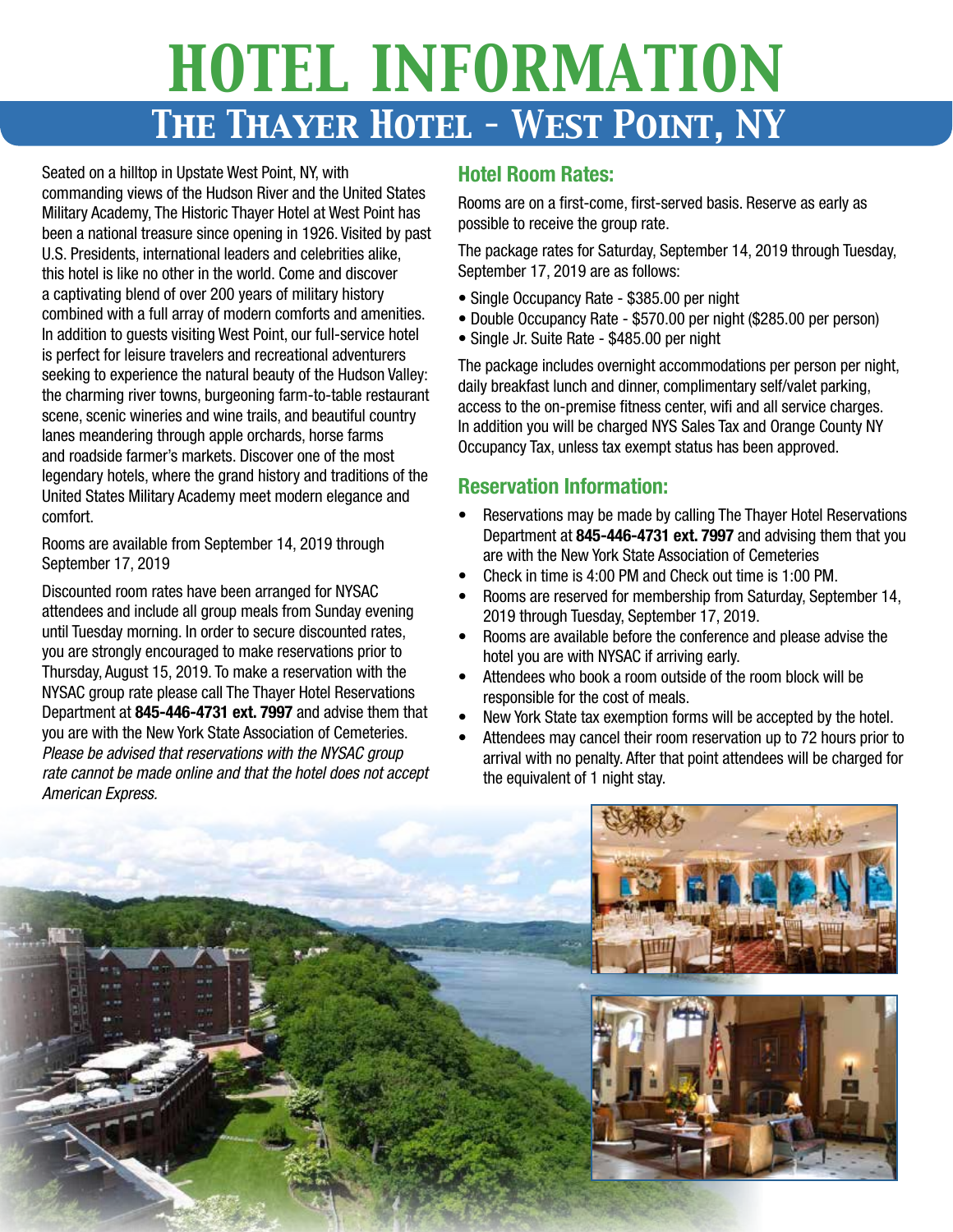## *HOTEL INFORMATION The Thayer Hotel – West Point, NY*

Seated on a hilltop in Upstate West Point, NY, with commanding views of the Hudson River and the United States Military Academy, The Historic Thayer Hotel at West Point has been a national treasure since opening in 1926. Visited by past U.S. Presidents, international leaders and celebrities alike, this hotel is like no other in the world. Come and discover a captivating blend of over 200 years of military history combined with a full array of modern comforts and amenities. In addition to guests visiting West Point, our full-service hotel is perfect for leisure travelers and recreational adventurers seeking to experience the natural beauty of the Hudson Valley: the charming river towns, burgeoning farm-to-table restaurant scene, scenic wineries and wine trails, and beautiful country lanes meandering through apple orchards, horse farms and roadside farmer's markets. Discover one of the most legendary hotels, where the grand history and traditions of the United States Military Academy meet modern elegance and comfort.

Rooms are available from September 14, 2019 through September 17, 2019

Discounted room rates have been arranged for NYSAC attendees and include all group meals from Sunday evening until Tuesday morning. In order to secure discounted rates, you are strongly encouraged to make reservations prior to Thursday, August 15, 2019. To make a reservation with the NYSAC group rate please call The Thayer Hotel Reservations Department at **845-446-4731 ext. 7997** and advise them that you are with the New York State Association of Cemeteries. *Please be advised that reservations with the NYSAC group rate cannot be made online and that the hotel does not accept American Express.*

### **Hotel Room Rates:**

Rooms are on a first-come, first-served basis. Reserve as early as possible to receive the group rate.

The package rates for Saturday, September 14, 2019 through Tuesday, September 17, 2019 are as follows:

- Single Occupancy Rate \$385.00 per night
- Double Occupancy Rate \$570.00 per night (\$285.00 per person)
- Single Jr. Suite Rate \$485.00 per night

The package includes overnight accommodations per person per night, daily breakfast lunch and dinner, complimentary self/valet parking, access to the on-premise fitness center, wifi and all service charges. In addition you will be charged NYS Sales Tax and Orange County NY Occupancy Tax, unless tax exempt status has been approved.

### **Reservation Information:**

- Reservations may be made by calling The Thayer Hotel Reservations Department at **845-446-4731 ext. 7997** and advising them that you are with the New York State Association of Cemeteries
- Check in time is 4:00 PM and Check out time is 1:00 PM.
- Rooms are reserved for membership from Saturday, September 14, 2019 through Tuesday, September 17, 2019.
- Rooms are available before the conference and please advise the hotel you are with NYSAC if arriving early.
- Attendees who book a room outside of the room block will be responsible for the cost of meals.
- New York State tax exemption forms will be accepted by the hotel.
- Attendees may cancel their room reservation up to 72 hours prior to arrival with no penalty. After that point attendees will be charged for the equivalent of 1 night stay.

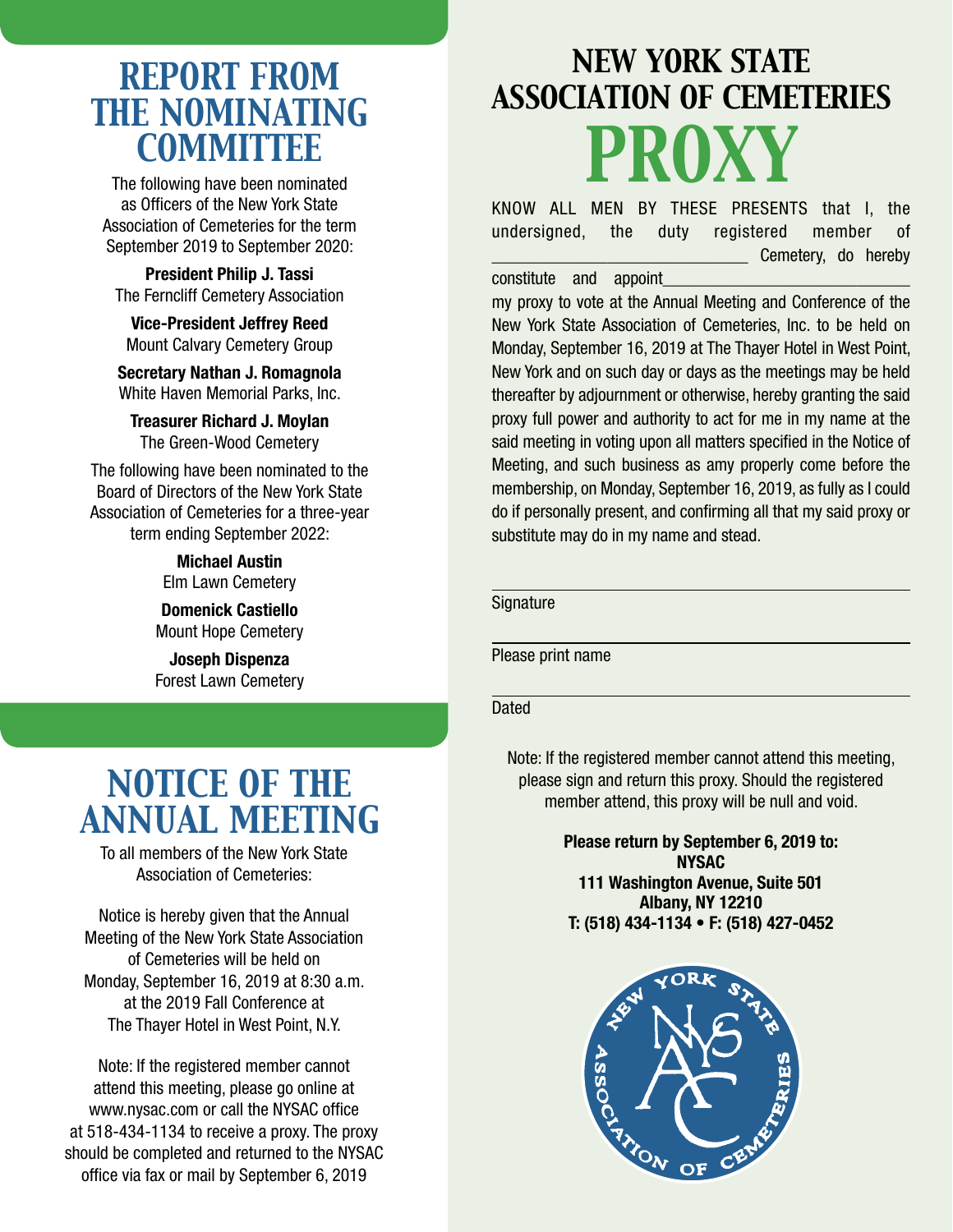### *REPORT FROM THE NOMINATING COMMITTEE*

The following have been nominated as Officers of the New York State Association of Cemeteries for the term September 2019 to September 2020:

**President Philip J. Tassi** The Ferncliff Cemetery Association

**Vice-President Jeffrey Reed** Mount Calvary Cemetery Group

**Secretary Nathan J. Romagnola** White Haven Memorial Parks, Inc.

**Treasurer Richard J. Moylan** The Green-Wood Cemetery

The following have been nominated to the Board of Directors of the New York State Association of Cemeteries for a three-year term ending September 2022:

> **Michael Austin** Elm Lawn Cemetery

**Domenick Castiello** Mount Hope Cemetery

**Joseph Dispenza** Forest Lawn Cemetery

### *NOTICE OF THE ANNUAL MEETING*

To all members of the New York State Association of Cemeteries:

Notice is hereby given that the Annual Meeting of the New York State Association of Cemeteries will be held on Monday, September 16, 2019 at 8:30 a.m. at the 2019 Fall Conference at The Thayer Hotel in West Point, N.Y.

Note: If the registered member cannot attend this meeting, please go online at www.nysac.com or call the NYSAC office at 518-434-1134 to receive a proxy. The proxy should be completed and returned to the NYSAC office via fax or mail by September 6, 2019

## *NEW YORK STATE ASSOCIATION OF CEMETERIES PROXY*

KNOW ALL MEN BY THESE PRESENTS that I, the undersigned, the duty registered member of Cemetery, do hereby

constitute and appoint

my proxy to vote at the Annual Meeting and Conference of the New York State Association of Cemeteries, Inc. to be held on Monday, September 16, 2019 at The Thayer Hotel in West Point, New York and on such day or days as the meetings may be held thereafter by adjournment or otherwise, hereby granting the said proxy full power and authority to act for me in my name at the said meeting in voting upon all matters specified in the Notice of Meeting, and such business as amy properly come before the membership, on Monday, September 16, 2019, as fully as I could do if personally present, and confirming all that my said proxy or substitute may do in my name and stead.

#### **Signature**

Please print name

#### **Dated**

Note: If the registered member cannot attend this meeting, please sign and return this proxy. Should the registered member attend, this proxy will be null and void.

> **Please return by September 6, 2019 to: NYSAC 111 Washington Avenue, Suite 501 Albany, NY 12210 T: (518) 434-1134 • F: (518) 427-0452**